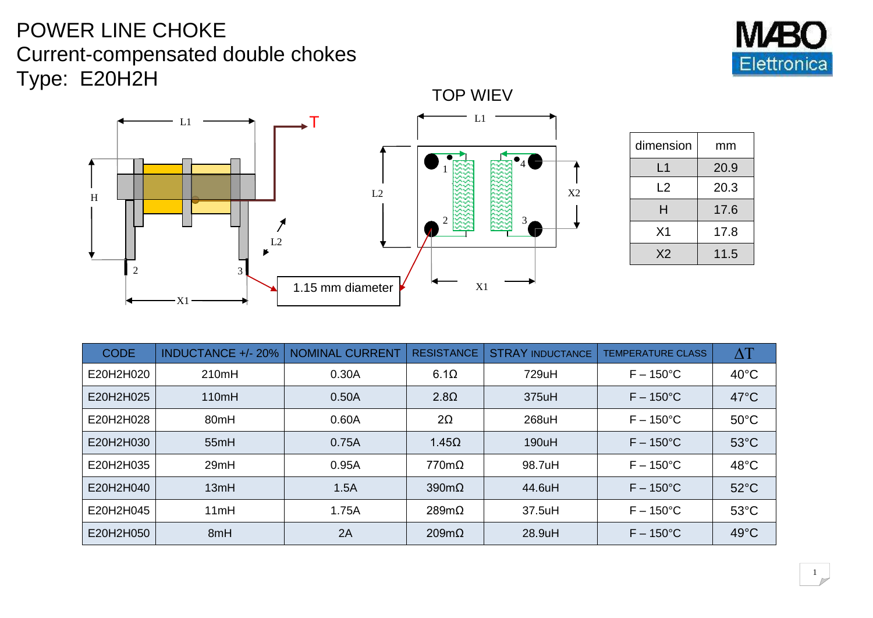## POWER LINE CHOKE Current-compensated double chokes Type: E20H2H





| dimension      | mm   |  |
|----------------|------|--|
| L1             | 20.9 |  |
| L2             | 20.3 |  |
| н              | 17.6 |  |
| X <sub>1</sub> | 17.8 |  |
| X <sub>2</sub> | 11.5 |  |

| <b>CODE</b> | <b>INDUCTANCE +/-20%</b> | <b>NOMINAL CURRENT</b> | <b>RESISTANCE</b>    | <b>STRAY INDUCTANCE</b> | <b>TEMPERATURE CLASS</b> | $\Delta\mathrm{T}$ |
|-------------|--------------------------|------------------------|----------------------|-------------------------|--------------------------|--------------------|
| E20H2H020   | 210mH                    | 0.30A                  | $6.1\Omega$          | 729uH                   | $F - 150^{\circ}$ C      | $40^{\circ}$ C     |
| E20H2H025   | 110mH                    | 0.50A                  | $2.8\Omega$          | 375uH                   | $F - 150^{\circ}$ C      | $47^{\circ}$ C     |
| E20H2H028   | 80mH                     | 0.60A                  | $2\Omega$            | 268uH                   | $F - 150^{\circ}$ C      | $50^{\circ}$ C     |
| E20H2H030   | 55mH                     | 0.75A                  | $1.45\Omega$         | 190uH                   | $F - 150^{\circ}$ C      | $53^{\circ}$ C     |
| E20H2H035   | 29mH                     | 0.95A                  | $770m\Omega$         | 98.7uH                  | $F - 150^{\circ}$ C      | $48^{\circ}$ C     |
| E20H2H040   | 13mH                     | 1.5A                   | $390 \text{m}\Omega$ | 44.6uH                  | $F - 150^{\circ}$ C      | $52^{\circ}$ C     |
| E20H2H045   | 11mH                     | 1.75A                  | $289m\Omega$         | 37.5uH                  | $F - 150^{\circ}$ C      | $53^{\circ}$ C     |
| E20H2H050   | 8mH                      | 2A                     | $209m\Omega$         | 28.9uH                  | $F - 150^{\circ}$ C      | $49^{\circ}$ C     |